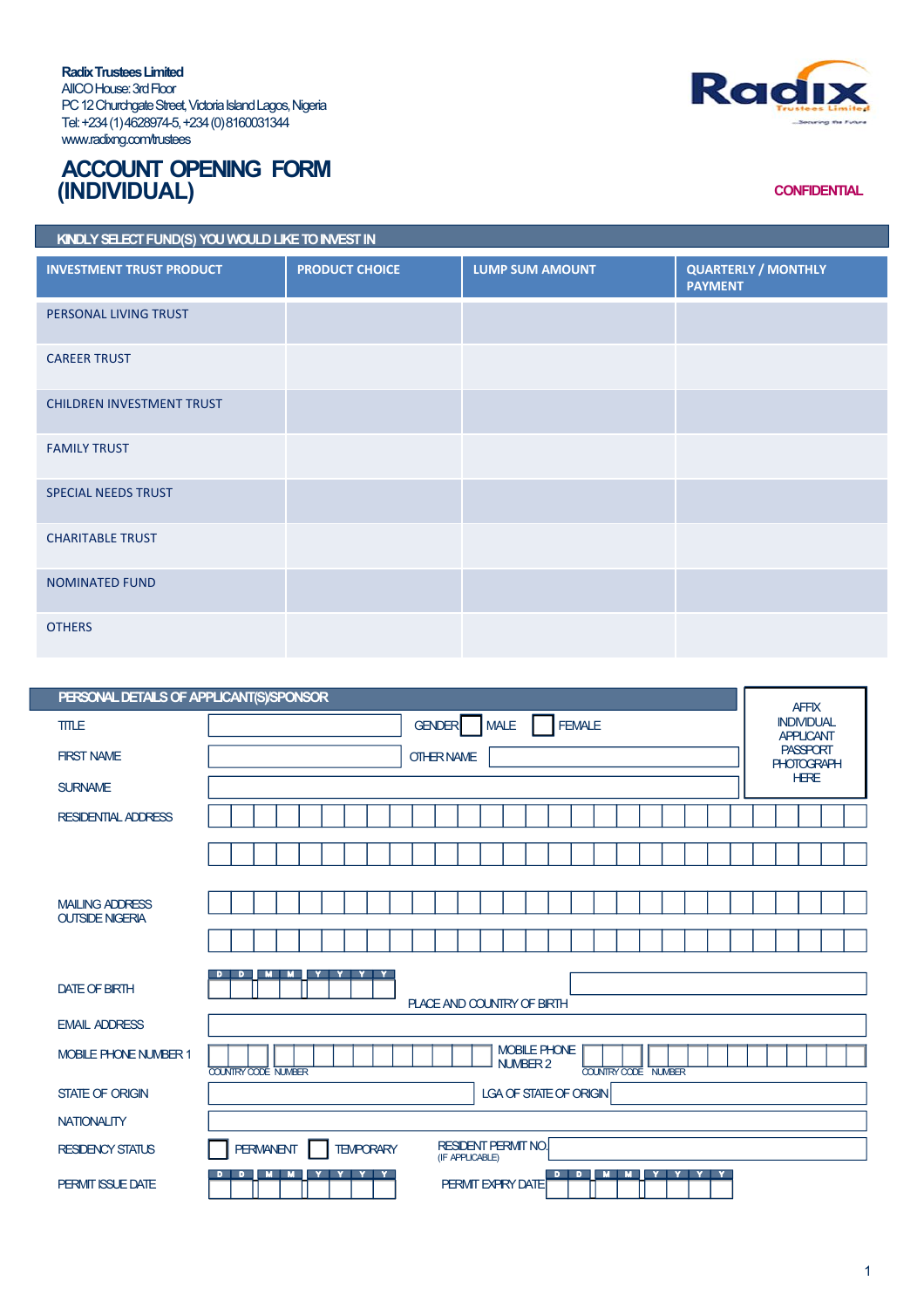**RadixTrusteesLimited** AIICOHouse:3rdFloor PC 12 Churchgate Street, Victoria Island Lagos, Nigeria Tel:+234(1)4628974-5,+234(0)8160031344 www.radixng.com/trustees



## **ACCOUNT OPENING FORM (INDIVIDUAL)**

## **CONFIDENTIAL**

| KINDLY SELECT FUND(S) YOU WOULD LIKE TO INVEST IN |                       |                        |                                              |  |  |
|---------------------------------------------------|-----------------------|------------------------|----------------------------------------------|--|--|
| <b>INVESTMENT TRUST PRODUCT</b>                   | <b>PRODUCT CHOICE</b> | <b>LUMP SUM AMOUNT</b> | <b>QUARTERLY / MONTHLY</b><br><b>PAYMENT</b> |  |  |
| PERSONAL LIVING TRUST                             |                       |                        |                                              |  |  |
| <b>CAREER TRUST</b>                               |                       |                        |                                              |  |  |
| <b>CHILDREN INVESTMENT TRUST</b>                  |                       |                        |                                              |  |  |
| <b>FAMILY TRUST</b>                               |                       |                        |                                              |  |  |
| <b>SPECIAL NEEDS TRUST</b>                        |                       |                        |                                              |  |  |
| <b>CHARITABLE TRUST</b>                           |                       |                        |                                              |  |  |
| <b>NOMINATED FUND</b>                             |                       |                        |                                              |  |  |
| <b>OTHERS</b>                                     |                       |                        |                                              |  |  |

| PERSONAL DETAILS OF APPLICANT(S)/SPONSOR<br><b>AFFIX</b> |                                                                                                             |  |  |  |
|----------------------------------------------------------|-------------------------------------------------------------------------------------------------------------|--|--|--|
| <b>TITLE</b>                                             | <b>INDIVIDUAL</b><br><b>FEMALE</b><br><b>GENDER</b><br><b>MALE</b><br><b>APPLICANT</b>                      |  |  |  |
| <b>FIRST NAME</b>                                        | <b>PASSPORT</b><br><b>OTHER NAME</b><br><b>PHOTOGRAPH</b>                                                   |  |  |  |
| <b>SURNAME</b>                                           | <b>HERE</b>                                                                                                 |  |  |  |
| <b>RESIDENTIAL ADDRESS</b>                               |                                                                                                             |  |  |  |
|                                                          |                                                                                                             |  |  |  |
|                                                          |                                                                                                             |  |  |  |
| <b>MAILING ADDRESS</b><br><b>OUTSIDE NIGERIA</b>         |                                                                                                             |  |  |  |
|                                                          |                                                                                                             |  |  |  |
| <b>DATE OF BIRTH</b>                                     | <b>MILMI</b><br>D<br>Y Y Y Y<br>D.<br>PLACE AND COUNTRY OF BIRTH                                            |  |  |  |
| <b>EMAIL ADDRESS</b>                                     |                                                                                                             |  |  |  |
| <b>MOBILE PHONE NUMBER 1</b>                             | <b>MOBILE PHONE</b><br>NUMBER 2<br><b>COUNTRY CODE NUMBER</b><br><b>COUNTRY CODE NUMBER</b>                 |  |  |  |
| <b>STATE OF ORIGIN</b>                                   | LGA OF STATE OF ORIGIN                                                                                      |  |  |  |
| <b>NATIONALITY</b>                                       |                                                                                                             |  |  |  |
| <b>RESIDENCY STATUS</b>                                  | <b>RESIDENT PERMIT NO.</b><br><b>PERMANENT</b><br><b>TEMPORARY</b><br>(IF APPLICABLE)                       |  |  |  |
| PERMIT ISSUE DATE                                        | <b>MM</b><br>$D$ $D$ $\Box$<br>M M Y Y Y Y<br>$\overline{D}$<br>Y Y Y Y<br>D.,<br><b>PERMIT EXPIRY DATE</b> |  |  |  |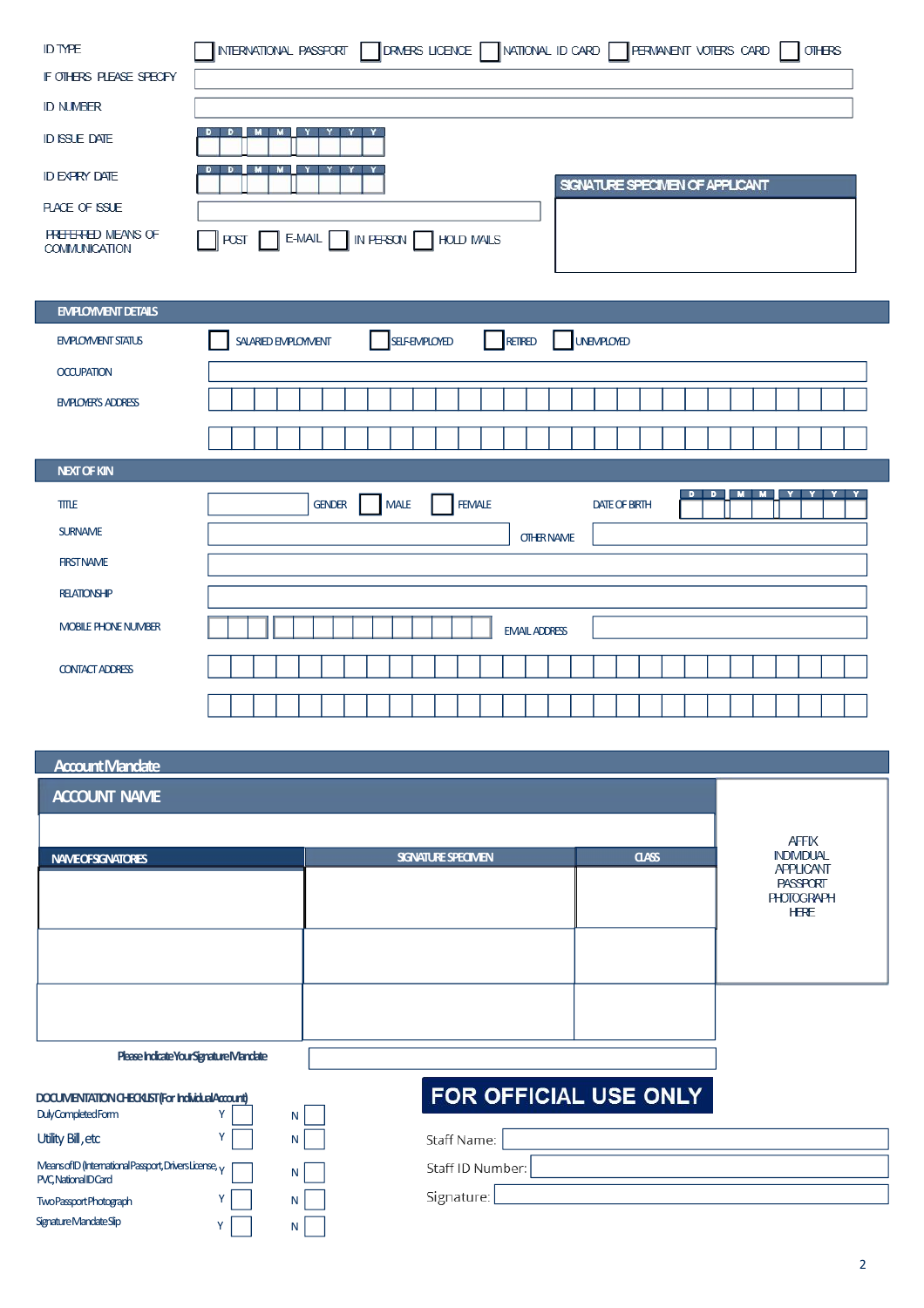| <b>ID TYPE</b><br>IF OTHERS PLEASE SPECIFY<br><b>ID NUMBER</b><br><b>ID ISSUE DATE</b><br><b>ID EXPRY DATE</b><br><b>PLACE OF ISSLE</b><br><b>FREEERED MEANS OF</b> | INTERNATIONAL PASSPORT<br>DRMERS LICENCE<br>NATIONAL ID CARD<br>FERMANENT VOTERS CARD<br>$OII + FS$<br>D<br>D<br>м<br>M.<br>D<br>SIGNATURE SPECIMEN OF APPLICANT<br>E-MAIL<br><b>POST</b><br>IN PERSON<br><b>HOLD MAILS</b> |
|---------------------------------------------------------------------------------------------------------------------------------------------------------------------|-----------------------------------------------------------------------------------------------------------------------------------------------------------------------------------------------------------------------------|
| <b>COMMUNICATION</b>                                                                                                                                                |                                                                                                                                                                                                                             |
|                                                                                                                                                                     |                                                                                                                                                                                                                             |
| <b>EMPLOYMENT DETAILS</b>                                                                                                                                           |                                                                                                                                                                                                                             |
| <b>EMPLOYMENT STATUS</b>                                                                                                                                            | RETIRED<br><b>UNEMPLOYED</b><br><b>SELF-EMPLOYED</b><br>SALARIED EMPLOYMENT                                                                                                                                                 |
| <b>OCCUPATION</b>                                                                                                                                                   |                                                                                                                                                                                                                             |
| <b>EMPLOYER'S ADDRESS</b>                                                                                                                                           |                                                                                                                                                                                                                             |
|                                                                                                                                                                     |                                                                                                                                                                                                                             |
| <b>NEXT OF KIN</b>                                                                                                                                                  |                                                                                                                                                                                                                             |
| TITLE                                                                                                                                                               | D<br>D<br>м<br>M I<br>Y<br><b>MALE</b><br><b>FEMALE</b><br><b>GENDER</b><br><b>DATE OF BIRTH</b>                                                                                                                            |
| <b>SURNAME</b>                                                                                                                                                      | <b>OTHER NAME</b>                                                                                                                                                                                                           |
| <b>FIRST NAME</b>                                                                                                                                                   |                                                                                                                                                                                                                             |
| <b>RELATIONSHIP</b>                                                                                                                                                 |                                                                                                                                                                                                                             |
| MOBILE PHONE NUMBER                                                                                                                                                 | <b>EMAIL ADDRESS</b>                                                                                                                                                                                                        |
| <b>CONTACT ADDRESS</b>                                                                                                                                              |                                                                                                                                                                                                                             |
|                                                                                                                                                                     |                                                                                                                                                                                                                             |
|                                                                                                                                                                     |                                                                                                                                                                                                                             |
| <b>Account Mandate</b>                                                                                                                                              |                                                                                                                                                                                                                             |
| <b>ACCOUNT NAME</b>                                                                                                                                                 |                                                                                                                                                                                                                             |
|                                                                                                                                                                     |                                                                                                                                                                                                                             |

|                                                                                             |                          |                       |                 | <b>AFFIX</b>                                                            |
|---------------------------------------------------------------------------------------------|--------------------------|-----------------------|-----------------|-------------------------------------------------------------------------|
| <b>NAMEOFSGNATORES</b>                                                                      | <b>SGNATURE SPECIMEN</b> | <b>CLASS</b>          | <b>INDMDUAL</b> |                                                                         |
|                                                                                             |                          |                       |                 | <b>APPLICANT</b><br><b>PASSPORT</b><br><b>PHOTOGRAPH</b><br><b>HERE</b> |
|                                                                                             |                          |                       |                 |                                                                         |
| Please Indicate Your Signature Mandate                                                      |                          |                       |                 |                                                                         |
| DOCUMENTATION CHECKLIST (For Individual Account)<br>DulyCompletedForm                       | $\mathsf{N}$             | FOR OFFICIAL USE ONLY |                 |                                                                         |
| Utility Bill, etc<br>v                                                                      | N.                       | Staff Name:           |                 |                                                                         |
| Means of ID (International Passport, Drivers License, <sub>Y</sub><br>PVC, National ID Card | N                        | Staff ID Number:      |                 |                                                                         |
| Two Passport Photograph                                                                     | N                        | Signature:            |                 |                                                                         |

TwoPassportPhotograph Y Y SignatureMandateSlip Y Y

 $N$